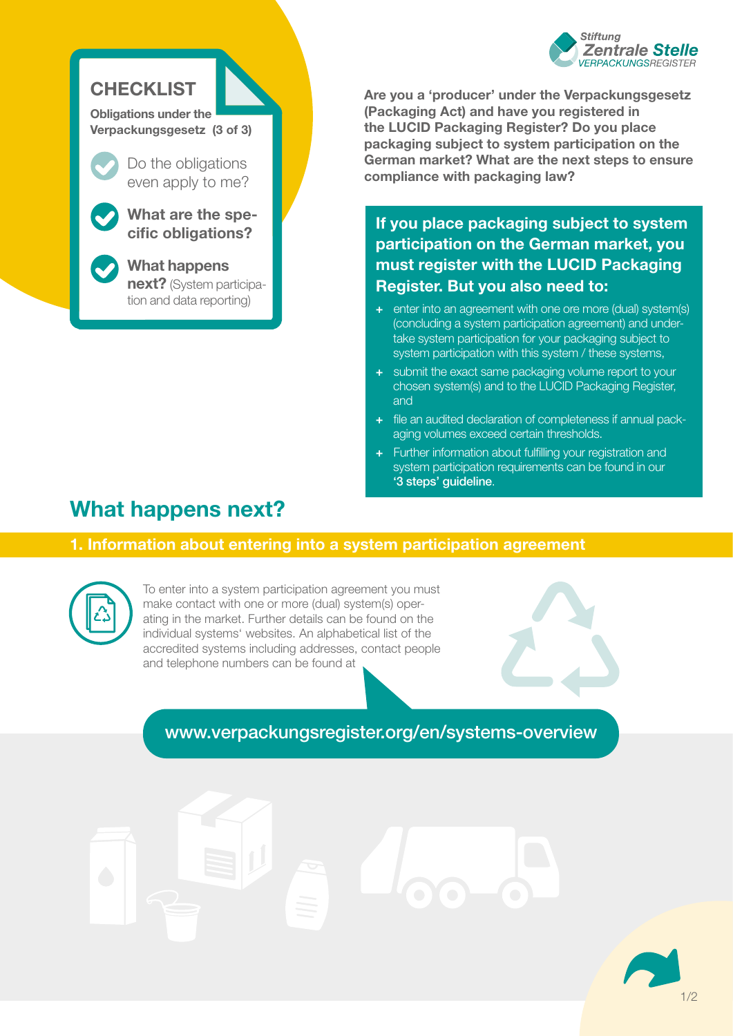

## **CHECKLIST**

**Obligations under the Verpackungsgesetz (3 of 3)**

even apply to me?

**What are the specific obligations?** 

**What happens** 

**next?** (System participation and data reporting)

**Are you a 'producer' under the Verpackungsgesetz (Packaging Act) and have you registered in the LUCID Packaging Register? Do you place packaging subject to system participation on the German market? What are the next steps to ensure Do the obligations compliance with packaging law? compliance with packaging law?** 

> **If you place packaging subject to system participation on the German market, you must register with the LUCID Packaging Register. But you also need to:**

- **+** enter into an agreement with one ore more (dual) system(s) (concluding a system participation agreement) and undertake system participation for your packaging subject to system participation with this system / these systems,
- **+** submit the exact same packaging volume report to your chosen system(s) and to the LUCID Packaging Register, and
- **+** file an audited declaration of completeness if annual packaging volumes exceed certain thresholds.
- **+** Further information about fulfilling your registration and system participation requirements can be found in our ['3 steps' guideline](https://www.verpackungsregister.org/fileadmin/files/Themenpaketseiten/Checklist_3_steps_to_help_you_fulfil_the_registration_and_system_participation_requirements.pdf).

# **What happens next?**

## **1. Information about entering into a system participation agreement**



To enter into a system participation agreement you must make contact with one or more (dual) system(s) operating in the market. Further details can be found on the individual systems' websites. An alphabetical list of the accredited systems including addresses, contact people and telephone numbers can be found at

[www.verpackungsregister.org/en/systems-overview](https://www.verpackungsregister.org/en/information-orientation/instructions-further-information/systems-overview)